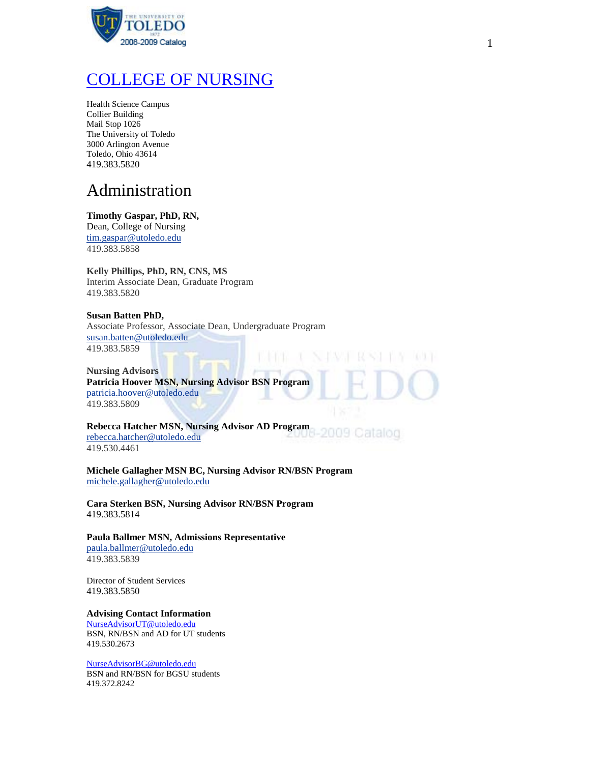

# [COLLEGE OF NURSING](http://hsc.utoledo.edu/nursing/)

Health Science Campus Collier Building Mail Stop 1026 The University of Toledo 3000 Arlington Avenue Toledo, Ohio 43614 419.383.5820

# Administration

## **Timothy Gaspar, PhD, RN,**

Dean, College of Nursing [tim.gaspar@utoledo.edu](http://utoledo.edu/eDirectory/eDirectoryResults.asp?searchType=facstaffmain&hidPage=0&txtLastName=gaspar&txtFirstName=&txtDept=&btnSubmit=Submit##) 419.383.5858

## **Kelly Phillips, PhD, RN, CNS, MS**

Interim Associate Dean, Graduate Program 419.383.5820

## **Susan Batten PhD,**

Associate Professor, Associate Dean, Undergraduate Program [susan.batten@utoledo.edu](http://utoledo.edu/eDirectory/eDirectoryResults.asp?searchType=facstaffmain&hidPage=0&txtLastName=batten&txtFirstName=&txtDept=&btnSubmit=Submit##) 419.383.5859

**Nursing Advisors Patricia Hoover MSN, Nursing Advisor BSN Program** [patricia.hoover@utoledo.edu](http://utoledo.edu/eDirectory/eDirectoryResults.asp?searchType=facstaffmain&hidPage=0&txtLastName=hoover&txtFirstName=&txtDept=&btnSubmit=Submit##) 419.383.5809

**Rebecca Hatcher MSN, Nursing Advisor AD Program** 2009 Catalog [rebecca.hatcher@utoledo.edu](http://utoledo.edu/eDirectory/eDirectoryResults.asp?searchType=facstaffmain&hidPage=0&txtLastName=hatcher&txtFirstName=&txtDept=&btnSubmit=Submit##) 419.530.4461

**Michele Gallagher MSN BC, Nursing Advisor RN/BSN Program** [michele.gallagher@utoledo.edu](http://utoledo.edu/eDirectory/eDirectoryResults.asp?searchType=facstaffmain&hidPage=0&txtLastName=gallagher&txtFirstName=&txtDept=&btnSubmit=Submit##)

**Cara Sterken BSN, Nursing Advisor RN/BSN Program** 419.383.5814

**Paula Ballmer MSN, Admissions Representative** [paula.ballmer@utoledo.edu](http://utoledo.edu/eDirectory/eDirectoryResults.asp?searchType=facstaffmain&hidPage=0&txtLastName=ballmer&txtFirstName=&txtDept=&btnSubmit=Submit##) 419.383.5839

Director of Student Services 419.383.5850

## **Advising Contact Information**

[NurseAdvisorUT@utoledo.edu](mailto:NurseAdvisorUT@utoledo.edu) BSN, RN/BSN and AD for UT students 419.530.2673

[NurseAdvisorBG@utoledo.edu](mailto:NurseAdvisorBG@utoledo.edu) BSN and RN/BSN for BGSU students 419.372.8242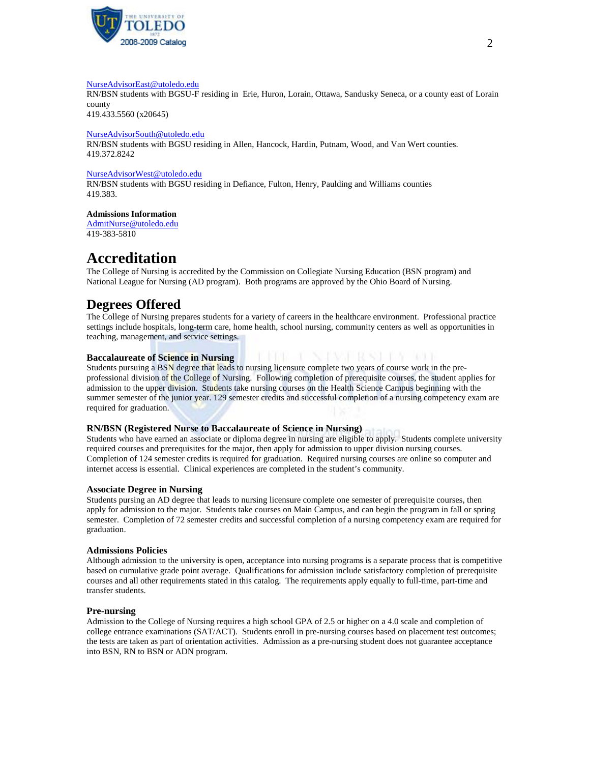

#### [NurseAdvisorEast@utoledo.edu](mailto:NurseAdvisorEast@utoledo.edu)

RN/BSN students with BGSU-F residing in Erie, Huron, Lorain, Ottawa, Sandusky Seneca, or a county east of Lorain county

419.433.5560 (x20645)

#### [NurseAdvisorSouth@utoledo.edu](mailto:NurseAdvisorSouth@utoledo.edu)

RN/BSN students with BGSU residing in Allen, Hancock, Hardin, Putnam, Wood, and Van Wert counties. 419.372.8242

### [NurseAdvisorWest@utoledo.edu](mailto:NurseAdvisorWest@utoledo.edu)

RN/BSN students with BGSU residing in Defiance, Fulton, Henry, Paulding and Williams counties 419.383.

**Admissions Information**

[AdmitNurse@utoledo.edu](mailto:AdmitNurse@utoledo.edu) 419-383-5810

# **Accreditation**

The College of Nursing is accredited by the Commission on Collegiate Nursing Education (BSN program) and National League for Nursing (AD program). Both programs are approved by the Ohio Board of Nursing.

## **Degrees Offered**

The College of Nursing prepares students for a variety of careers in the healthcare environment. Professional practice settings include hospitals, long-term care, home health, school nursing, community centers as well as opportunities in teaching, management, and service settings.

## **Baccalaureate of Science in Nursing**

Students pursuing a BSN degree that leads to nursing licensure complete two years of course work in the preprofessional division of the College of Nursing. Following completion of prerequisite courses, the student applies for admission to the upper division. Students take nursing courses on the Health Science Campus beginning with the summer semester of the junior year. 129 semester credits and successful completion of a nursing competency exam are required for graduation.

a ka ka

 $1.3.1$ 

## **RN/BSN (Registered Nurse to Baccalaureate of Science in Nursing)**

Students who have earned an associate or diploma degree in nursing are eligible to apply. Students complete university required courses and prerequisites for the major, then apply for admission to upper division nursing courses. Completion of 124 semester credits is required for graduation. Required nursing courses are online so computer and internet access is essential. Clinical experiences are completed in the student's community.

## **Associate Degree in Nursing**

Students pursing an AD degree that leads to nursing licensure complete one semester of prerequisite courses, then apply for admission to the major. Students take courses on Main Campus, and can begin the program in fall or spring semester. Completion of 72 semester credits and successful completion of a nursing competency exam are required for graduation.

## **Admissions Policies**

Although admission to the university is open, acceptance into nursing programs is a separate process that is competitive based on cumulative grade point average. Qualifications for admission include satisfactory completion of prerequisite courses and all other requirements stated in this catalog. The requirements apply equally to full-time, part-time and transfer students.

## **Pre-nursing**

Admission to the College of Nursing requires a high school GPA of 2.5 or higher on a 4.0 scale and completion of college entrance examinations (SAT/ACT). Students enroll in pre-nursing courses based on placement test outcomes; the tests are taken as part of orientation activities. Admission as a pre-nursing student does not guarantee acceptance into BSN, RN to BSN or ADN program.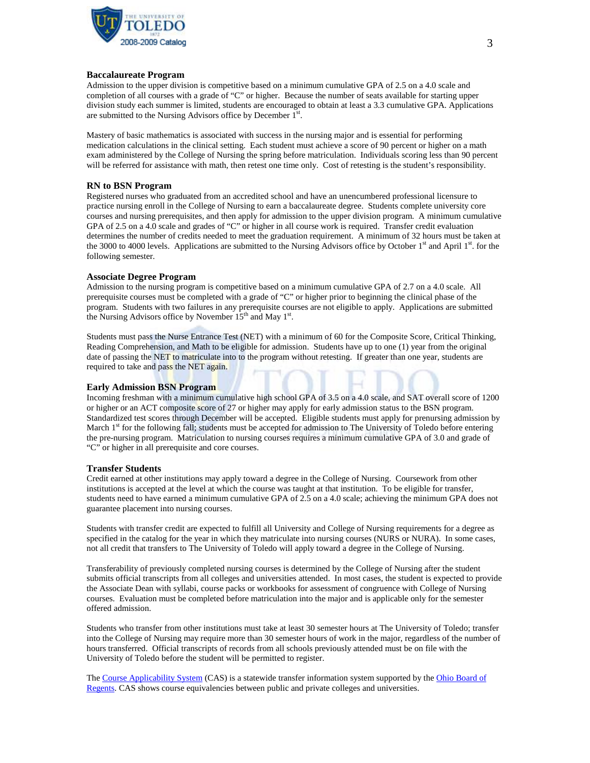

#### **Baccalaureate Program**

Admission to the upper division is competitive based on a minimum cumulative GPA of 2.5 on a 4.0 scale and completion of all courses with a grade of "C" or higher. Because the number of seats available for starting upper division study each summer is limited, students are encouraged to obtain at least a 3.3 cumulative GPA. Applications are submitted to the Nursing Advisors office by December 1st.

Mastery of basic mathematics is associated with success in the nursing major and is essential for performing medication calculations in the clinical setting. Each student must achieve a score of 90 percent or higher on a math exam administered by the College of Nursing the spring before matriculation. Individuals scoring less than 90 percent will be referred for assistance with math, then retest one time only. Cost of retesting is the student's responsibility.

## **RN to BSN Program**

Registered nurses who graduated from an accredited school and have an unencumbered professional licensure to practice nursing enroll in the College of Nursing to earn a baccalaureate degree. Students complete university core courses and nursing prerequisites, and then apply for admission to the upper division program. A minimum cumulative GPA of 2.5 on a 4.0 scale and grades of "C" or higher in all course work is required. Transfer credit evaluation determines the number of credits needed to meet the graduation requirement. A minimum of 32 hours must be taken at the 3000 to 4000 levels. Applications are submitted to the Nursing Advisors office by October  $1<sup>st</sup>$  and April  $1<sup>st</sup>$ . for the following semester.

#### **Associate Degree Program**

Admission to the nursing program is competitive based on a minimum cumulative GPA of 2.7 on a 4.0 scale. All prerequisite courses must be completed with a grade of "C" or higher prior to beginning the clinical phase of the program. Students with two failures in any prerequisite courses are not eligible to apply. Applications are submitted the Nursing Advisors office by November 15<sup>th</sup> and May 1<sup>st</sup>.

Students must pass the Nurse Entrance Test (NET) with a minimum of 60 for the Composite Score, Critical Thinking, Reading Comprehension, and Math to be eligible for admission. Students have up to one (1) year from the original date of passing the NET to matriculate into to the program without retesting. If greater than one year, students are required to take and pass the NET again.

## **Early Admission BSN Program**

Incoming freshman with a minimum cumulative high school GPA of 3.5 on a 4.0 scale, and SAT overall score of 1200 or higher or an ACT composite score of 27 or higher may apply for early admission status to the BSN program. Standardized test scores through December will be accepted. Eligible students must apply for prenursing admission by March 1<sup>st</sup> for the following fall; students must be accepted for admission to The University of Toledo before entering the pre-nursing program. Matriculation to nursing courses requires a minimum cumulative GPA of 3.0 and grade of "C" or higher in all prerequisite and core courses.

## **Transfer Students**

Credit earned at other institutions may apply toward a degree in the College of Nursing. Coursework from other institutions is accepted at the level at which the course was taught at that institution. To be eligible for transfer, students need to have earned a minimum cumulative GPA of 2.5 on a 4.0 scale; achieving the minimum GPA does not guarantee placement into nursing courses.

Students with transfer credit are expected to fulfill all University and College of Nursing requirements for a degree as specified in the catalog for the year in which they matriculate into nursing courses (NURS or NURA). In some cases, not all credit that transfers to The University of Toledo will apply toward a degree in the College of Nursing.

Transferability of previously completed nursing courses is determined by the College of Nursing after the student submits official transcripts from all colleges and universities attended. In most cases, the student is expected to provide the Associate Dean with syllabi, course packs or workbooks for assessment of congruence with College of Nursing courses. Evaluation must be completed before matriculation into the major and is applicable only for the semester offered admission.

Students who transfer from other institutions must take at least 30 semester hours at The University of Toledo; transfer into the College of Nursing may require more than 30 semester hours of work in the major, regardless of the number of hours transferred. Official transcripts of records from all schools previously attended must be on file with the University of Toledo before the student will be permitted to register.

The [Course Applicability System](https://oh.transfer.org/cas/) (CAS) is a statewide transfer information system supported by the Ohio Board of [Regents.](http://regents.ohio.gov/transfer/index.php) CAS shows course equivalencies between public and private colleges and universities.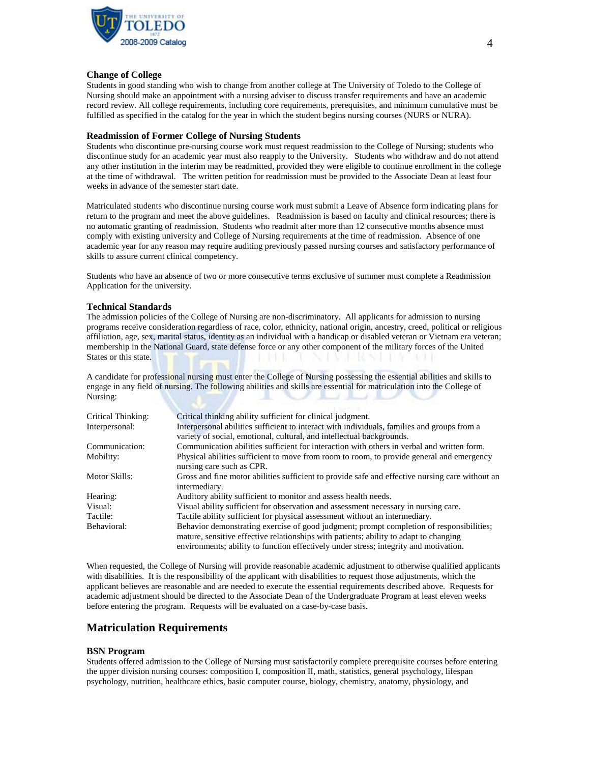

## **Change of College**

Students in good standing who wish to change from another college at The University of Toledo to the College of Nursing should make an appointment with a nursing adviser to discuss transfer requirements and have an academic record review. All college requirements, including core requirements, prerequisites, and minimum cumulative must be fulfilled as specified in the catalog for the year in which the student begins nursing courses (NURS or NURA).

#### **Readmission of Former College of Nursing Students**

Students who discontinue pre-nursing course work must request readmission to the College of Nursing; students who discontinue study for an academic year must also reapply to the University. Students who withdraw and do not attend any other institution in the interim may be readmitted, provided they were eligible to continue enrollment in the college at the time of withdrawal. The written petition for readmission must be provided to the Associate Dean at least four weeks in advance of the semester start date.

Matriculated students who discontinue nursing course work must submit a Leave of Absence form indicating plans for return to the program and meet the above guidelines. Readmission is based on faculty and clinical resources; there is no automatic granting of readmission. Students who readmit after more than 12 consecutive months absence must comply with existing university and College of Nursing requirements at the time of readmission. Absence of one academic year for any reason may require auditing previously passed nursing courses and satisfactory performance of skills to assure current clinical competency.

Students who have an absence of two or more consecutive terms exclusive of summer must complete a Readmission Application for the university.

#### **Technical Standards**

The admission policies of the College of Nursing are non-discriminatory. All applicants for admission to nursing programs receive consideration regardless of race, color, ethnicity, national origin, ancestry, creed, political or religious affiliation, age, sex, marital status, identity as an individual with a handicap or disabled veteran or Vietnam era veteran; membership in the National Guard, state defense force or any other component of the military forces of the United States or this state.

A candidate for professional nursing must enter the College of Nursing possessing the essential abilities and skills to engage in any field of nursing. The following abilities and skills are essential for matriculation into the College of Nursing:

| Critical Thinking: | Critical thinking ability sufficient for clinical judgment.                                                                                                                                                                                                                |
|--------------------|----------------------------------------------------------------------------------------------------------------------------------------------------------------------------------------------------------------------------------------------------------------------------|
| Interpersonal:     | Interpersonal abilities sufficient to interact with individuals, families and groups from a<br>variety of social, emotional, cultural, and intellectual backgrounds.                                                                                                       |
| Communication:     | Communication abilities sufficient for interaction with others in verbal and written form.                                                                                                                                                                                 |
| Mobility:          | Physical abilities sufficient to move from room to room, to provide general and emergency<br>nursing care such as CPR.                                                                                                                                                     |
| Motor Skills:      | Gross and fine motor abilities sufficient to provide safe and effective nursing care without an<br>intermediary.                                                                                                                                                           |
| Hearing:           | Auditory ability sufficient to monitor and assess health needs.                                                                                                                                                                                                            |
| Visual:            | Visual ability sufficient for observation and assessment necessary in nursing care.                                                                                                                                                                                        |
| Tactile:           | Tactile ability sufficient for physical assessment without an intermediary.                                                                                                                                                                                                |
| Behavioral:        | Behavior demonstrating exercise of good judgment; prompt completion of responsibilities;<br>mature, sensitive effective relationships with patients; ability to adapt to changing<br>environments; ability to function effectively under stress; integrity and motivation. |

When requested, the College of Nursing will provide reasonable academic adjustment to otherwise qualified applicants with disabilities. It is the responsibility of the applicant with disabilities to request those adjustments, which the applicant believes are reasonable and are needed to execute the essential requirements described above. Requests for academic adjustment should be directed to the Associate Dean of the Undergraduate Program at least eleven weeks before entering the program. Requests will be evaluated on a case-by-case basis.

## **Matriculation Requirements**

## **BSN Program**

Students offered admission to the College of Nursing must satisfactorily complete prerequisite courses before entering the upper division nursing courses: composition I, composition II, math, statistics, general psychology, lifespan psychology, nutrition, healthcare ethics, basic computer course, biology, chemistry, anatomy, physiology, and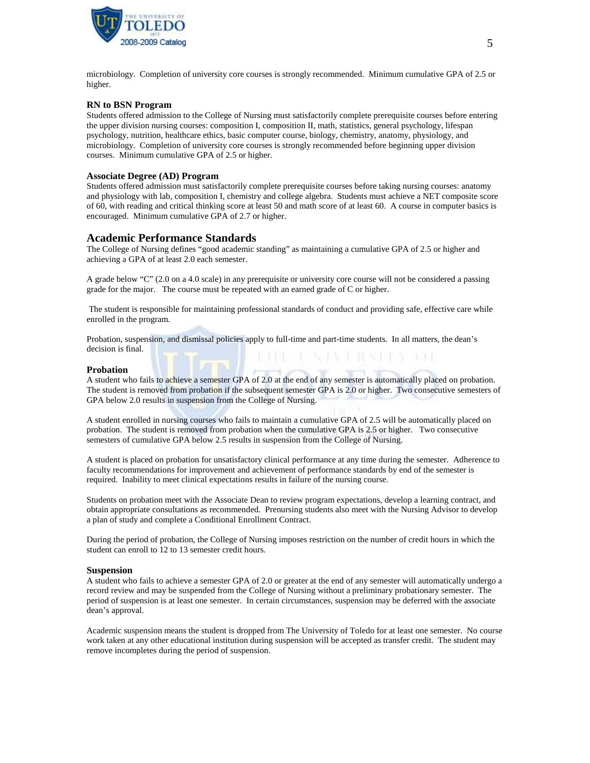

microbiology. Completion of university core courses is strongly recommended. Minimum cumulative GPA of 2.5 or higher.

#### **RN to BSN Program**

Students offered admission to the College of Nursing must satisfactorily complete prerequisite courses before entering the upper division nursing courses: composition I, composition II, math, statistics, general psychology, lifespan psychology, nutrition, healthcare ethics, basic computer course, biology, chemistry, anatomy, physiology, and microbiology. Completion of university core courses is strongly recommended before beginning upper division courses. Minimum cumulative GPA of 2.5 or higher.

#### **Associate Degree (AD) Program**

Students offered admission must satisfactorily complete prerequisite courses before taking nursing courses: anatomy and physiology with lab, composition I, chemistry and college algebra. Students must achieve a NET composite score of 60, with reading and critical thinking score at least 50 and math score of at least 60. A course in computer basics is encouraged. Minimum cumulative GPA of 2.7 or higher.

#### **Academic Performance Standards**

The College of Nursing defines "good academic standing" as maintaining a cumulative GPA of 2.5 or higher and achieving a GPA of at least 2.0 each semester.

A grade below "C" (2.0 on a 4.0 scale) in any prerequisite or university core course will not be considered a passing grade for the major. The course must be repeated with an earned grade of C or higher.

The student is responsible for maintaining professional standards of conduct and providing safe, effective care while enrolled in the program.

Probation, suspension, and dismissal policies apply to full-time and part-time students. In all matters, the dean's decision is final. **L. N. PASH ROSE IS A 100 F** 

#### **Probation**

A student who fails to achieve a semester GPA of 2.0 at the end of any semester is automatically placed on probation. The student is removed from probation if the subsequent semester GPA is 2.0 or higher. Two consecutive semesters of GPA below 2.0 results in suspension from the College of Nursing.

A student enrolled in nursing courses who fails to maintain a cumulative GPA of 2.5 will be automatically placed on probation. The student is removed from probation when the cumulative GPA is 2.5 or higher. Two consecutive semesters of cumulative GPA below 2.5 results in suspension from the College of Nursing.

A student is placed on probation for unsatisfactory clinical performance at any time during the semester. Adherence to faculty recommendations for improvement and achievement of performance standards by end of the semester is required. Inability to meet clinical expectations results in failure of the nursing course.

Students on probation meet with the Associate Dean to review program expectations, develop a learning contract, and obtain appropriate consultations as recommended. Prenursing students also meet with the Nursing Advisor to develop a plan of study and complete a Conditional Enrollment Contract.

During the period of probation, the College of Nursing imposes restriction on the number of credit hours in which the student can enroll to 12 to 13 semester credit hours.

#### **Suspension**

A student who fails to achieve a semester GPA of 2.0 or greater at the end of any semester will automatically undergo a record review and may be suspended from the College of Nursing without a preliminary probationary semester. The period of suspension is at least one semester. In certain circumstances, suspension may be deferred with the associate dean's approval.

Academic suspension means the student is dropped from The University of Toledo for at least one semester. No course work taken at any other educational institution during suspension will be accepted as transfer credit. The student may remove incompletes during the period of suspension.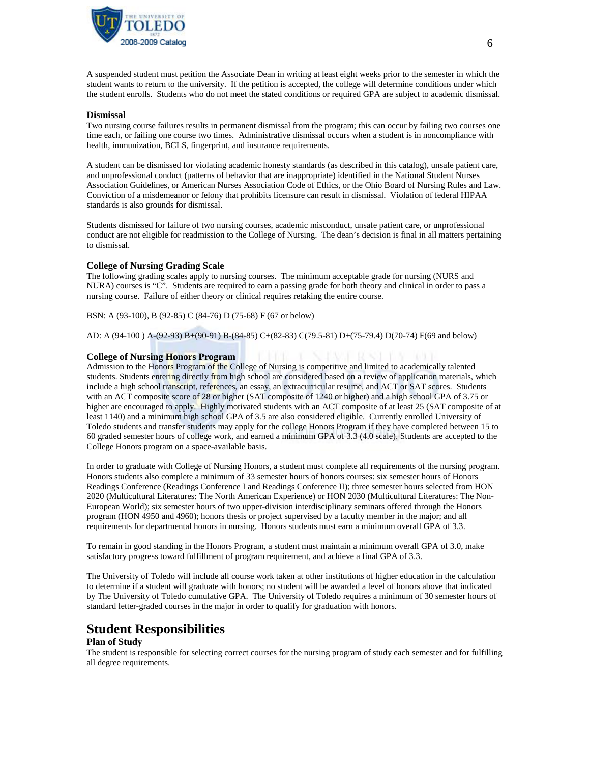

A suspended student must petition the Associate Dean in writing at least eight weeks prior to the semester in which the student wants to return to the university. If the petition is accepted, the college will determine conditions under which the student enrolls. Students who do not meet the stated conditions or required GPA are subject to academic dismissal.

#### **Dismissal**

Two nursing course failures results in permanent dismissal from the program; this can occur by failing two courses one time each, or failing one course two times. Administrative dismissal occurs when a student is in noncompliance with health, immunization, BCLS, fingerprint, and insurance requirements.

A student can be dismissed for violating academic honesty standards (as described in this catalog), unsafe patient care, and unprofessional conduct (patterns of behavior that are inappropriate) identified in the National Student Nurses Association Guidelines, or American Nurses Association Code of Ethics, or the Ohio Board of Nursing Rules and Law. Conviction of a misdemeanor or felony that prohibits licensure can result in dismissal. Violation of federal HIPAA standards is also grounds for dismissal.

Students dismissed for failure of two nursing courses, academic misconduct, unsafe patient care, or unprofessional conduct are not eligible for readmission to the College of Nursing. The dean's decision is final in all matters pertaining to dismissal.

#### **College of Nursing Grading Scale**

The following grading scales apply to nursing courses. The minimum acceptable grade for nursing (NURS and NURA) courses is "C". Students are required to earn a passing grade for both theory and clinical in order to pass a nursing course. Failure of either theory or clinical requires retaking the entire course.

BSN: A (93-100), B (92-85) C (84-76) D (75-68) F (67 or below)

AD: A (94-100 ) A-(92-93) B+(90-91) B-(84-85) C+(82-83) C(79.5-81) D+(75-79.4) D(70-74) F(69 and below)

#### **College of Nursing Honors Program**

Admission to the Honors Program of the College of Nursing is competitive and limited to academically talented students. Students entering directly from high school are considered based on a review of application materials, which include a high school transcript, references, an essay, an extracurricular resume, and ACT or SAT scores. Students with an ACT composite score of 28 or higher (SAT composite of 1240 or higher) and a high school GPA of 3.75 or higher are encouraged to apply. Highly motivated students with an ACT composite of at least 25 (SAT composite of at least 1140) and a minimum high school GPA of 3.5 are also considered eligible. Currently enrolled University of Toledo students and transfer students may apply for the college Honors Program if they have completed between 15 to 60 graded semester hours of college work, and earned a minimum GPA of 3.3 (4.0 scale). Students are accepted to the College Honors program on a space-available basis.

In order to graduate with College of Nursing Honors, a student must complete all requirements of the nursing program. Honors students also complete a minimum of 33 semester hours of honors courses: six semester hours of Honors Readings Conference (Readings Conference I and Readings Conference II); three semester hours selected from HON 2020 (Multicultural Literatures: The North American Experience) or HON 2030 (Multicultural Literatures: The Non-European World); six semester hours of two upper-division interdisciplinary seminars offered through the Honors program (HON 4950 and 4960); honors thesis or project supervised by a faculty member in the major; and all requirements for departmental honors in nursing. Honors students must earn a minimum overall GPA of 3.3.

To remain in good standing in the Honors Program, a student must maintain a minimum overall GPA of 3.0, make satisfactory progress toward fulfillment of program requirement, and achieve a final GPA of 3.3.

The University of Toledo will include all course work taken at other institutions of higher education in the calculation to determine if a student will graduate with honors; no student will be awarded a level of honors above that indicated by The University of Toledo cumulative GPA. The University of Toledo requires a minimum of 30 semester hours of standard letter-graded courses in the major in order to qualify for graduation with honors.

## **Student Responsibilities**

#### **Plan of Study**

The student is responsible for selecting correct courses for the nursing program of study each semester and for fulfilling all degree requirements.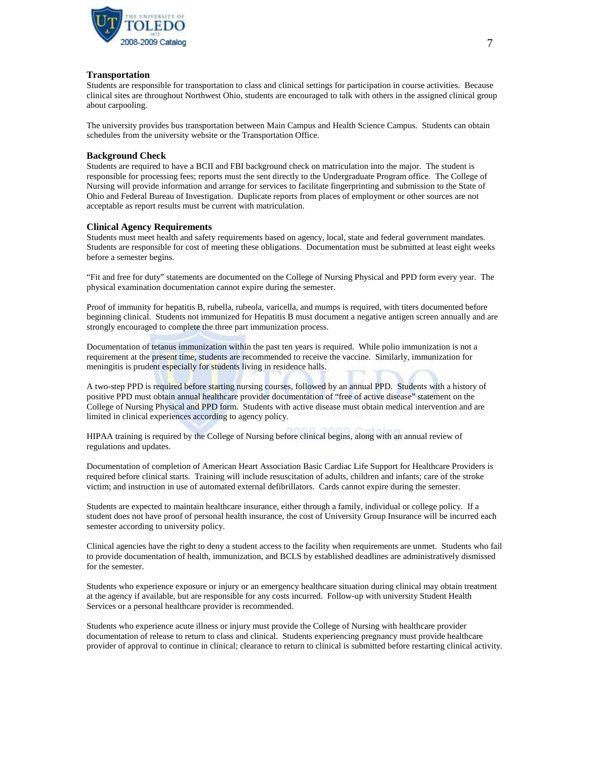

### **Transportation**

Students are responsible for transportation to class and clinical settings for participation in course activities. Because clinical sites are throughout Northwest Ohio, students are encouraged to talk with others in the assigned clinical group about carpooling.

The university provides bus transportation between Main Campus and Health Science Campus. Students can obtain schedules from the university website or the Transportation Office.

#### **Background Check**

Students are required to have a BCII and FBI background check on matriculation into the major. The student is responsible for processing fees; reports must the sent directly to the Undergraduate Program office. The College of Nursing will provide information and arrange for services to facilitate fingerprinting and submission to the State of Ohio and Federal Bureau of Investigation. Duplicate reports from places of employment or other sources are not acceptable as report results must be current with matriculation.

#### **Clinical Agency Requirements**

Students must meet health and safety requirements based on agency, local, state and federal government mandates. Students are responsible for cost of meeting these obligations. Documentation must be submitted at least eight weeks before a semester begins.

"Fit and free for duty" statements are documented on the College of Nursing Physical and PPD form every year. The physical examination documentation cannot expire during the semester.

Proof of immunity for hepatitis B, rubella, rubeola, varicella, and mumps is required, with titers documented before beginning clinical. Students not immunized for Hepatitis B must document a negative antigen screen annually and are strongly encouraged to complete the three part immunization process.

Documentation of tetanus immunization within the past ten years is required. While polio immunization is not a requirement at the present time, students are recommended to receive the vaccine. Similarly, immunization for meningitis is prudent especially for students living in residence halls.

A two-step PPD is required before starting nursing courses, followed by an annual PPD. Students with a history of positive PPD must obtain annual healthcare provider documentation of "free of active disease" statement on the College of Nursing Physical and PPD form. Students with active disease must obtain medical intervention and are limited in clinical experiences according to agency policy.

HIPAA training is required by the College of Nursing before clinical begins, along with an annual review of regulations and updates.

Documentation of completion of American Heart Association Basic Cardiac Life Support for Healthcare Providers is required before clinical starts. Training will include resuscitation of adults, children and infants; care of the stroke victim; and instruction in use of automated external defibrillators. Cards cannot expire during the semester.

Students are expected to maintain healthcare insurance, either through a family, individual or college policy. If a student does not have proof of personal health insurance, the cost of University Group Insurance will be incurred each semester according to university policy.

Clinical agencies have the right to deny a student access to the facility when requirements are unmet. Students who fail to provide documentation of health, immunization, and BCLS by established deadlines are administratively dismissed for the semester.

Students who experience exposure or injury or an emergency healthcare situation during clinical may obtain treatment at the agency if available, but are responsible for any costs incurred. Follow-up with university Student Health Services or a personal healthcare provider is recommended.

Students who experience acute illness or injury must provide the College of Nursing with healthcare provider documentation of release to return to class and clinical. Students experiencing pregnancy must provide healthcare provider of approval to continue in clinical; clearance to return to clinical is submitted before restarting clinical activity.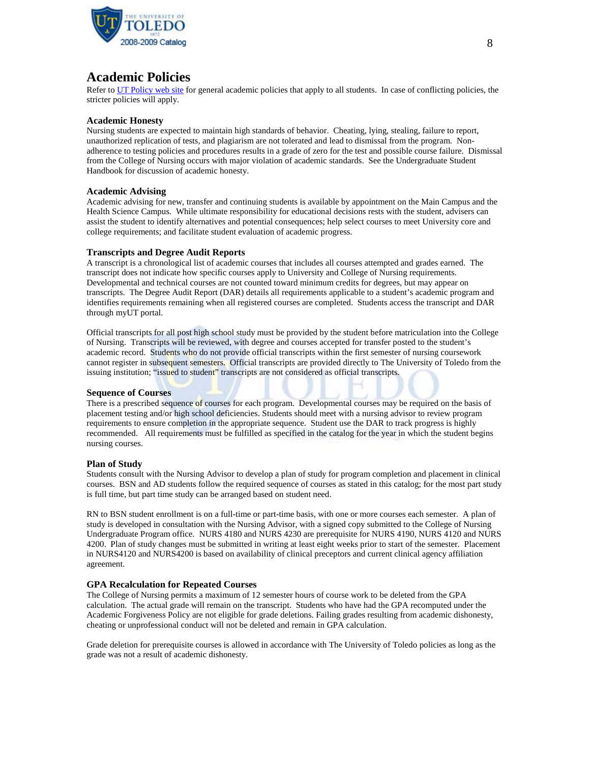

## **Academic Policies**

Refer t[o UT Policy web site](http://utoledo.edu/policies/) for general academic policies that apply to all students. In case of conflicting policies, the stricter policies will apply.

## **Academic Honesty**

Nursing students are expected to maintain high standards of behavior. Cheating, lying, stealing, failure to report, unauthorized replication of tests, and plagiarism are not tolerated and lead to dismissal from the program. Nonadherence to testing policies and procedures results in a grade of zero for the test and possible course failure. Dismissal from the College of Nursing occurs with major violation of academic standards. See the Undergraduate Student Handbook for discussion of academic honesty.

#### **Academic Advising**

Academic advising for new, transfer and continuing students is available by appointment on the Main Campus and the Health Science Campus. While ultimate responsibility for educational decisions rests with the student, advisers can assist the student to identify alternatives and potential consequences; help select courses to meet University core and college requirements; and facilitate student evaluation of academic progress.

#### **Transcripts and Degree Audit Reports**

A transcript is a chronological list of academic courses that includes all courses attempted and grades earned. The transcript does not indicate how specific courses apply to University and College of Nursing requirements. Developmental and technical courses are not counted toward minimum credits for degrees, but may appear on transcripts. The Degree Audit Report (DAR) details all requirements applicable to a student's academic program and identifies requirements remaining when all registered courses are completed. Students access the transcript and DAR through myUT portal.

Official transcripts for all post high school study must be provided by the student before matriculation into the College of Nursing. Transcripts will be reviewed, with degree and courses accepted for transfer posted to the student's academic record. Students who do not provide official transcripts within the first semester of nursing coursework cannot register in subsequent semesters. Official transcripts are provided directly to The University of Toledo from the issuing institution; "issued to student" transcripts are not considered as official transcripts.

#### **Sequence of Courses**

There is a prescribed sequence of courses for each program. Developmental courses may be required on the basis of placement testing and/or high school deficiencies. Students should meet with a nursing advisor to review program requirements to ensure completion in the appropriate sequence. Student use the DAR to track progress is highly recommended. All requirements must be fulfilled as specified in the catalog for the year in which the student begins nursing courses.

## **Plan of Study**

Students consult with the Nursing Advisor to develop a plan of study for program completion and placement in clinical courses. BSN and AD students follow the required sequence of courses as stated in this catalog; for the most part study is full time, but part time study can be arranged based on student need.

RN to BSN student enrollment is on a full-time or part-time basis, with one or more courses each semester. A plan of study is developed in consultation with the Nursing Advisor, with a signed copy submitted to the College of Nursing Undergraduate Program office. NURS 4180 and NURS 4230 are prerequisite for NURS 4190, NURS 4120 and NURS 4200. Plan of study changes must be submitted in writing at least eight weeks prior to start of the semester. Placement in NURS4120 and NURS4200 is based on availability of clinical preceptors and current clinical agency affiliation agreement.

## **GPA Recalculation for Repeated Courses**

The College of Nursing permits a maximum of 12 semester hours of course work to be deleted from the GPA calculation. The actual grade will remain on the transcript. Students who have had the GPA recomputed under the Academic Forgiveness Policy are not eligible for grade deletions. Failing grades resulting from academic dishonesty, cheating or unprofessional conduct will not be deleted and remain in GPA calculation.

Grade deletion for prerequisite courses is allowed in accordance with The University of Toledo policies as long as the grade was not a result of academic dishonesty.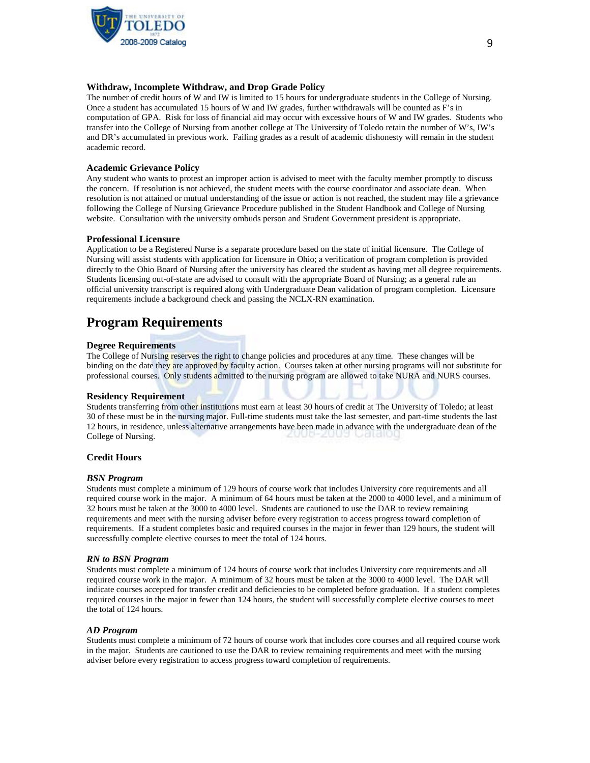

## **Withdraw, Incomplete Withdraw, and Drop Grade Policy**

The number of credit hours of W and IW is limited to 15 hours for undergraduate students in the College of Nursing. Once a student has accumulated 15 hours of W and IW grades, further withdrawals will be counted as F's in computation of GPA. Risk for loss of financial aid may occur with excessive hours of W and IW grades. Students who transfer into the College of Nursing from another college at The University of Toledo retain the number of W's, IW's and DR's accumulated in previous work. Failing grades as a result of academic dishonesty will remain in the student academic record.

### **Academic Grievance Policy**

Any student who wants to protest an improper action is advised to meet with the faculty member promptly to discuss the concern. If resolution is not achieved, the student meets with the course coordinator and associate dean. When resolution is not attained or mutual understanding of the issue or action is not reached, the student may file a grievance following the College of Nursing Grievance Procedure published in the Student Handbook and College of Nursing website. Consultation with the university ombuds person and Student Government president is appropriate.

#### **Professional Licensure**

Application to be a Registered Nurse is a separate procedure based on the state of initial licensure. The College of Nursing will assist students with application for licensure in Ohio; a verification of program completion is provided directly to the Ohio Board of Nursing after the university has cleared the student as having met all degree requirements. Students licensing out-of-state are advised to consult with the appropriate Board of Nursing; as a general rule an official university transcript is required along with Undergraduate Dean validation of program completion. Licensure requirements include a background check and passing the NCLX-RN examination.

## **Program Requirements**

#### **Degree Requirements**

The College of Nursing reserves the right to change policies and procedures at any time. These changes will be binding on the date they are approved by faculty action. Courses taken at other nursing programs will not substitute for professional courses. Only students admitted to the nursing program are allowed to take NURA and NURS courses.

#### **Residency Requirement**

Students transferring from other institutions must earn at least 30 hours of credit at The University of Toledo; at least 30 of these must be in the nursing major. Full-time students must take the last semester, and part-time students the last 12 hours, in residence, unless alternative arrangements have been made in advance with the undergraduate dean of the College of Nursing.

#### **Credit Hours**

#### *BSN Program*

Students must complete a minimum of 129 hours of course work that includes University core requirements and all required course work in the major. A minimum of 64 hours must be taken at the 2000 to 4000 level, and a minimum of 32 hours must be taken at the 3000 to 4000 level. Students are cautioned to use the DAR to review remaining requirements and meet with the nursing adviser before every registration to access progress toward completion of requirements. If a student completes basic and required courses in the major in fewer than 129 hours, the student will successfully complete elective courses to meet the total of 124 hours.

#### *RN to BSN Program*

Students must complete a minimum of 124 hours of course work that includes University core requirements and all required course work in the major. A minimum of 32 hours must be taken at the 3000 to 4000 level. The DAR will indicate courses accepted for transfer credit and deficiencies to be completed before graduation. If a student completes required courses in the major in fewer than 124 hours, the student will successfully complete elective courses to meet the total of 124 hours.

#### *AD Program*

Students must complete a minimum of 72 hours of course work that includes core courses and all required course work in the major. Students are cautioned to use the DAR to review remaining requirements and meet with the nursing adviser before every registration to access progress toward completion of requirements.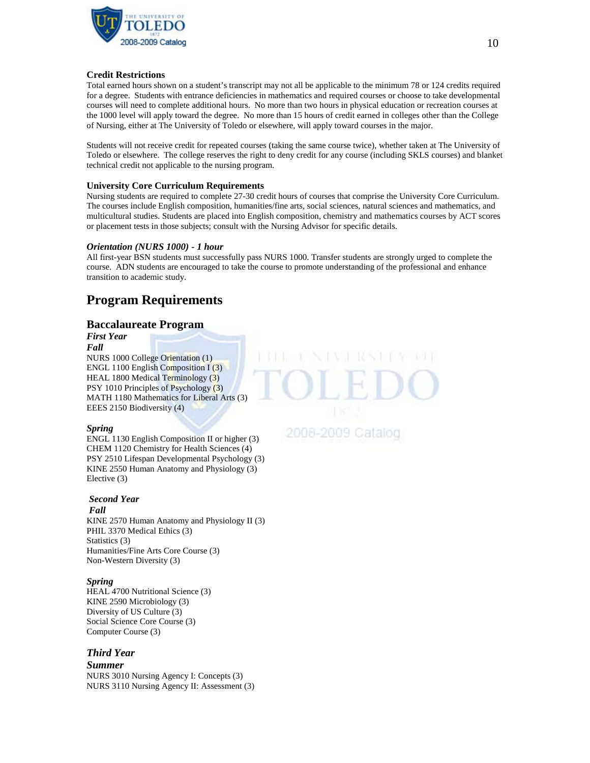

## **Credit Restrictions**

Total earned hours shown on a student's transcript may not all be applicable to the minimum 78 or 124 credits required for a degree. Students with entrance deficiencies in mathematics and required courses or choose to take developmental courses will need to complete additional hours. No more than two hours in physical education or recreation courses at the 1000 level will apply toward the degree. No more than 15 hours of credit earned in colleges other than the College of Nursing, either at The University of Toledo or elsewhere, will apply toward courses in the major.

Students will not receive credit for repeated courses (taking the same course twice), whether taken at The University of Toledo or elsewhere. The college reserves the right to deny credit for any course (including SKLS courses) and blanket technical credit not applicable to the nursing program.

## **University Core Curriculum Requirements**

Nursing students are required to complete 27-30 credit hours of courses that comprise the University Core Curriculum. The courses include English composition, humanities/fine arts, social sciences, natural sciences and mathematics, and multicultural studies. Students are placed into English composition, chemistry and mathematics courses by ACT scores or placement tests in those subjects; consult with the Nursing Advisor for specific details.

## *Orientation (NURS 1000) - 1 hour*

All first-year BSN students must successfully pass NURS 1000. Transfer students are strongly urged to complete the course. ADN students are encouraged to take the course to promote understanding of the professional and enhance transition to academic study.

## **Program Requirements**

## **Baccalaureate Program**

*First Year Fall* NURS 1000 College Orientation (1) ENGL 1100 English Composition I (3) HEAL 1800 Medical Terminology (3) PSY 1010 Principles of Psychology (3) MATH 1180 Mathematics for Liberal Arts (3) EEES 2150 Biodiversity (4)

## *Spring*

ENGL 1130 English Composition II or higher (3) CHEM 1120 Chemistry for Health Sciences (4) PSY 2510 Lifespan Developmental Psychology (3) KINE 2550 Human Anatomy and Physiology (3) Elective (3)

## *Second Year*

## *Fall*

KINE 2570 Human Anatomy and Physiology II (3) PHIL 3370 Medical Ethics (3) Statistics (3) Humanities/Fine Arts Core Course (3) Non-Western Diversity (3)

## *Spring*

HEAL 4700 Nutritional Science (3) KINE 2590 Microbiology (3) Diversity of US Culture (3) Social Science Core Course (3) Computer Course (3)

## *Third Year*

*Summer* NURS 3010 Nursing Agency I: Concepts (3) NURS 3110 Nursing Agency II: Assessment (3)

## 2008-2009 Catalog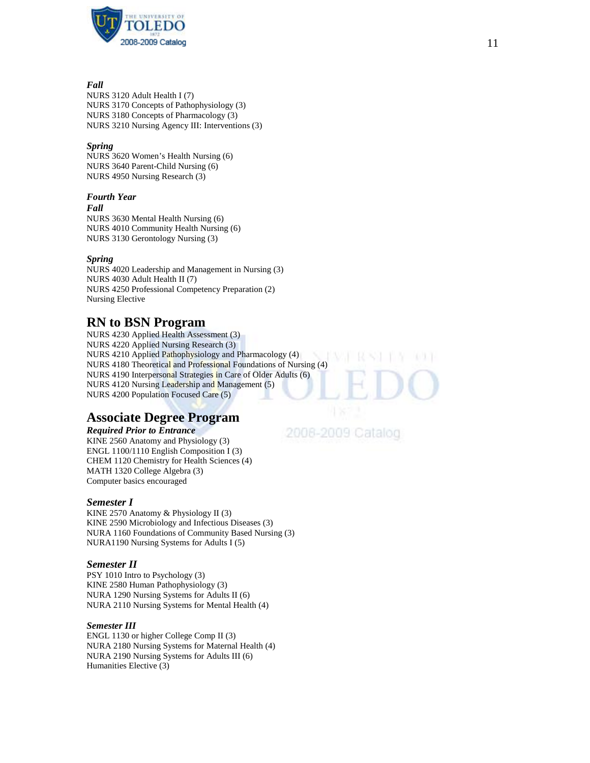

## *Fall*

NURS 3120 Adult Health I (7) NURS 3170 Concepts of Pathophysiology (3) NURS 3180 Concepts of Pharmacology (3) NURS 3210 Nursing Agency III: Interventions (3)

## *Spring*

NURS 3620 Women's Health Nursing (6) NURS 3640 Parent -Child Nursing (6) NURS 4950 Nursing Research (3)

## *Fourth Year*

*Fall*

NURS 3630 Mental Health Nursing (6) NURS 4010 Community Health Nursing (6) NURS 3130 Gerontology Nursing (3)

## *Spring*

NURS 4020 Leadership and Management in Nursing (3) NURS 4030 Adult Health II (7) NURS 4250 Professional Competency Preparation (2 ) Nursing Elective

## **RN to BSN Program**

NURS 4230 Applied Health Assessment ( 3 ) NURS 4220 Applied Nursing Research (3) NURS 4210 Applied Pathophysiology and Pharmacology (4) NURS 4180 Theoretical and Professional Foundations of Nursing (4) NURS 4190 Interpersonal Strategies in Care of Older Adults (6) NURS 4120 Nursing Leadership and Management (5) NURS 4200 Population Focused Care (5)

## **Associate Degree Program**

## *Required Prior to Entrance*

KINE 2560 Anatomy and Physiology (3) ENGL 1100/1110 English Composition I (3) CHEM 1120 Chemistry for Health Sciences (4) MATH 1320 College Algebra (3) Computer basics encouraged

## *Semester I*

KINE 2570 Anatomy & Physiology II (3) KINE 2590 Microbiology and Infectious Diseases (3) NURA 1160 Foundations of Community Based Nursing (3) NURA1190 Nursing Systems for Adults I (5)

## *Semester II*

PSY 1010 Intro to Psychology (3) KINE 2580 Human Pathophysiology (3) NURA 1290 Nursing Systems for Adults II (6) NURA 2110 Nursing Systems for Mental Health (4)

## *Semester III*

ENGL 1130 or higher College Comp II (3) NURA 2180 Nursing Systems for Maternal Health (4) NURA 2190 Nursing Systems for Adults III (6) Humanities Elective (3)

2008-2009 Catalog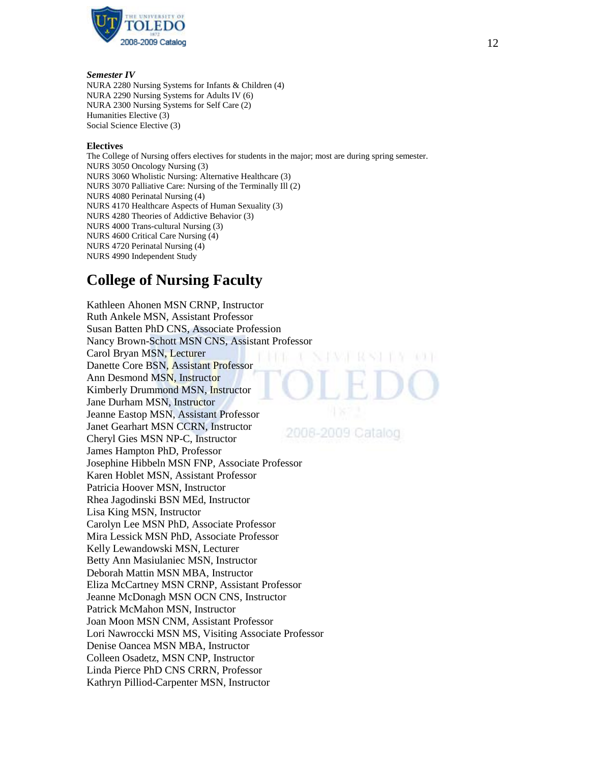

## *Semester IV*

NURA 2280 Nursing Systems for Infants & Children (4) NURA 2290 Nursing Systems for Adults IV (6) NURA 2300 Nursing Systems for Self Care (2) Humanities Elective (3) Social Science Elective (3)

## **Electives**

The College of Nursing offers electives for students in the major; most are during spring semester. NURS 3050 Oncology Nursing (3) NURS 3060 Wholistic Nursing: Alternative Healthcare (3) NURS 3070 Palliative Care: Nursing of the Terminally Ill (2) NURS 4080 Perinatal Nursing (4) NURS 4170 Healthcare Aspects of Human Sexuality (3) NURS 4280 Theories of Addictive Behavior (3) NURS 4000 Trans-cultural Nursing (3) NURS 4600 Critical Care Nursing (4) NURS 4720 Perinatal Nursing (4) NURS 4990 Independent Study

# **College of Nursing Faculty**

Kathleen Ahonen MSN CRNP, Instructor Ruth Ankele MSN, Assistant Professor Susan Batten PhD CNS, Associate Profession Nancy Brown-Schott MSN CNS, Assistant Professor Carol Bryan MSN, Lecturer Danette Core BSN, Assistant Professor Ann Desmond MSN, Instructor Kimberly Drummond MSN, Instructor Jane Durham MSN, Instructor Jeanne Eastop MSN, Assistant Professor Janet Gearhart MSN CCRN, Instructor 2008-2009 Catalog Cheryl Gies MSN NP-C, Instructor James Hampton PhD, Professor Josephine Hibbeln MSN FNP, Associate Professor Karen Hoblet MSN, Assistant Professor Patricia Hoover MSN, Instructor Rhea Jagodinski BSN MEd, Instructor Lisa King MSN, Instructor Carolyn Lee MSN PhD, Associate Professor Mira Lessick MSN PhD, Associate Professor Kelly Lewandowski MSN, Lecturer Betty Ann Masiulaniec MSN, Instructor Deborah Mattin MSN MBA, Instructor Eliza McCartney MSN CRNP, Assistant Professor Jeanne McDonagh MSN OCN CNS, Instructor Patrick McMahon MSN, Instructor Joan Moon MSN CNM, Assistant Professor Lori Nawroccki MSN MS, Visiting Associate Professor Denise Oancea MSN MBA, Instructor Colleen Osadetz, MSN CNP, Instructor Linda Pierce PhD CNS CRRN, Professor Kathryn Pilliod-Carpenter MSN, Instructor